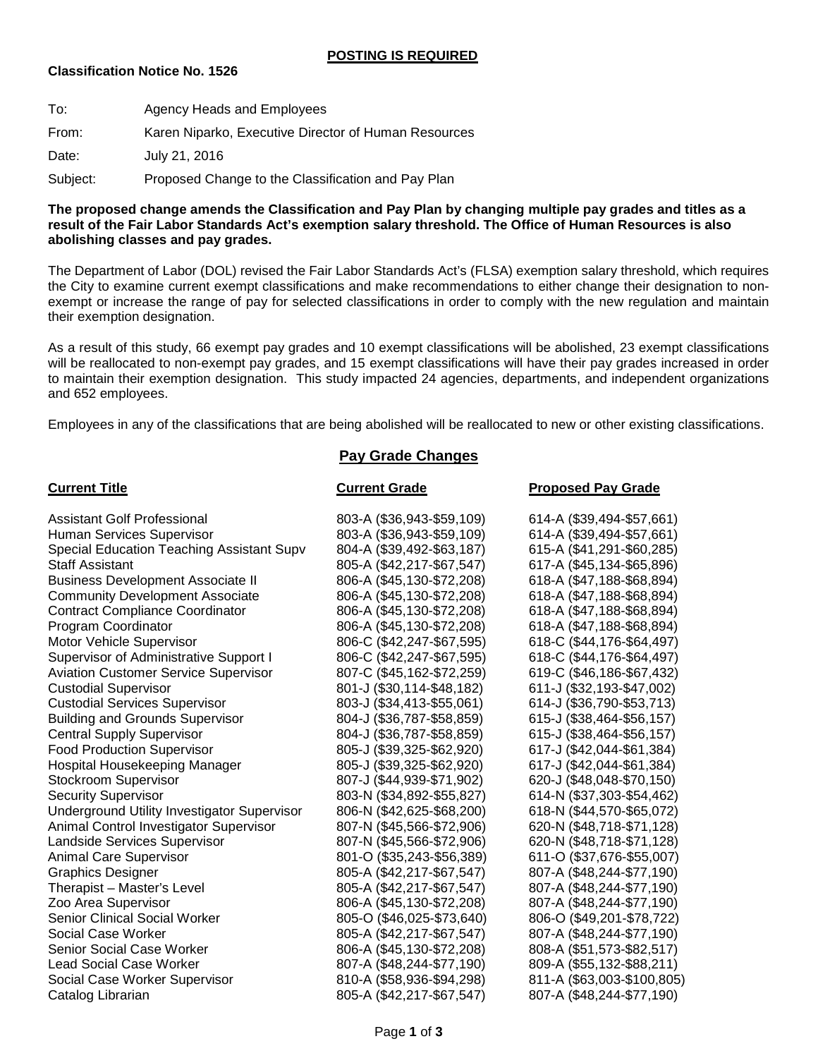### **Classification Notice No. 1526**

| To:      | Agency Heads and Employees                           |
|----------|------------------------------------------------------|
| From:    | Karen Niparko, Executive Director of Human Resources |
| Date:    | July 21, 2016                                        |
| Subject: | Proposed Change to the Classification and Pay Plan   |

### **The proposed change amends the Classification and Pay Plan by changing multiple pay grades and titles as a result of the Fair Labor Standards Act's exemption salary threshold. The Office of Human Resources is also abolishing classes and pay grades.**

The Department of Labor (DOL) revised the Fair Labor Standards Act's (FLSA) exemption salary threshold, which requires the City to examine current exempt classifications and make recommendations to either change their designation to nonexempt or increase the range of pay for selected classifications in order to comply with the new regulation and maintain their exemption designation.

As a result of this study, 66 exempt pay grades and 10 exempt classifications will be abolished, 23 exempt classifications will be reallocated to non-exempt pay grades, and 15 exempt classifications will have their pay grades increased in order to maintain their exemption designation. This study impacted 24 agencies, departments, and independent organizations and 652 employees.

Employees in any of the classifications that are being abolished will be reallocated to new or other existing classifications.

### **Pay Grade Changes**

### **Current Title Current Grade Proposed Pay Grade** Assistant Golf Professional 803-A (\$36,943-\$59,109) 614-A (\$39,494-\$57,661) Human Services Supervisor 803-A (\$36,943-\$59,109) 614-A (\$39,494-\$57,661) Special Education Teaching Assistant Supv 804-A (\$39,492-\$63,187) 615-A (\$41,291-\$60,285) Staff Assistant 805-A (\$42,217-\$67,547) 617-A (\$45,134-\$65,896) Business Development Associate II 806-A (\$45,130-\$72,208) 618-A (\$47,188-\$68,894) Community Development Associate 806-A (\$45,130-\$72,208) 618-A (\$47,188-\$68,894)<br>Contract Compliance Coordinator 806-A (\$45,130-\$72,208) 618-A (\$47,188-\$68,894) Contract Compliance Coordinator 806-A (\$45,130-\$72,208) 618-A (\$47,188-\$68,894) Program Coordinator 806-A (\$45,130-\$72,208) 618-A (\$47,188-\$68,894) Motor Vehicle Supervisor 806-C (\$42,247-\$67,595) 618-C (\$44,176-\$64,497) Supervisor of Administrative Support I 806-C (\$42,247-\$67,595) 618-C (\$44,176-\$64,497) Aviation Customer Service Supervisor 807-C (\$45,162-\$72,259) 619-C (\$46,186-\$67,432) Custodial Supervisor 801-J (\$30,114-\$48,182) 611-J (\$32,193-\$47,002) Custodial Services Supervisor 803-J (\$34,413-\$55,061) 614-J (\$36,790-\$53,713) Building and Grounds Supervisor 804-J (\$36,787-\$58,859) 615-J (\$38,464-\$56,157) Central Supply Supervisor 804-J (\$36,787-\$58,859) 615-J (\$38,464-\$56,157) Food Production Supervisor 805-J (\$39,325-\$62,920) 617-J (\$42,044-\$61,384) Hospital Housekeeping Manager 805-J (\$39,325-\$62,920) 617-J (\$42,044-\$61,384) Stockroom Supervisor 807-J (\$44,939-\$71,902) 620-J (\$48,048-\$70,150) Security Supervisor 803-N (\$34,892-\$55,827) 614-N (\$37,303-\$54,462) Underground Utility Investigator Supervisor 806-N (\$42,625-\$68,200) 618-N (\$44,570-\$65,072)<br>Animal Control Investigator Supervisor 807-N (\$45,566-\$72,906) 620-N (\$48,718-\$71,128) Animal Control Investigator Supervisor 807-N (\$45,566-\$72,906) 620-N (\$48,718-\$71,128) Landside Services Supervisor 807-N (\$45,566-\$72,906) 620-N (\$48,718-\$71,128) Animal Care Supervisor 801-O (\$35,243-\$56,389) 611-O (\$37,676-\$55,007) Graphics Designer 805-A (\$42,217-\$67,547) 807-A (\$48,244-\$77,190) Therapist – Master's Level 805-A (\$42,217-\$67,547) 807-A (\$48,244-\$77,190) Zoo Area Supervisor 806-A (\$45,130-\$72,208) 807-A (\$48,244-\$77,190) 805-O (\$46,025-\$73,640) 806-O (\$49,201-\$78,722) Social Case Worker 805-A (\$42,217-\$67,547) 807-A (\$48,244-\$77,190) Senior Social Case Worker 806-A (\$45,130-\$72,208) 808-A (\$51,573-\$82,517) 807-A (\$48,244-\$77,190) 809-A (\$55,132-\$88,211) Social Case Worker Supervisor 810-A (\$58,936-\$94,298) 811-A (\$63,003-\$100,805) Catalog Librarian 805-A (\$42,217-\$67,547) 807-A (\$48,244-\$77,190)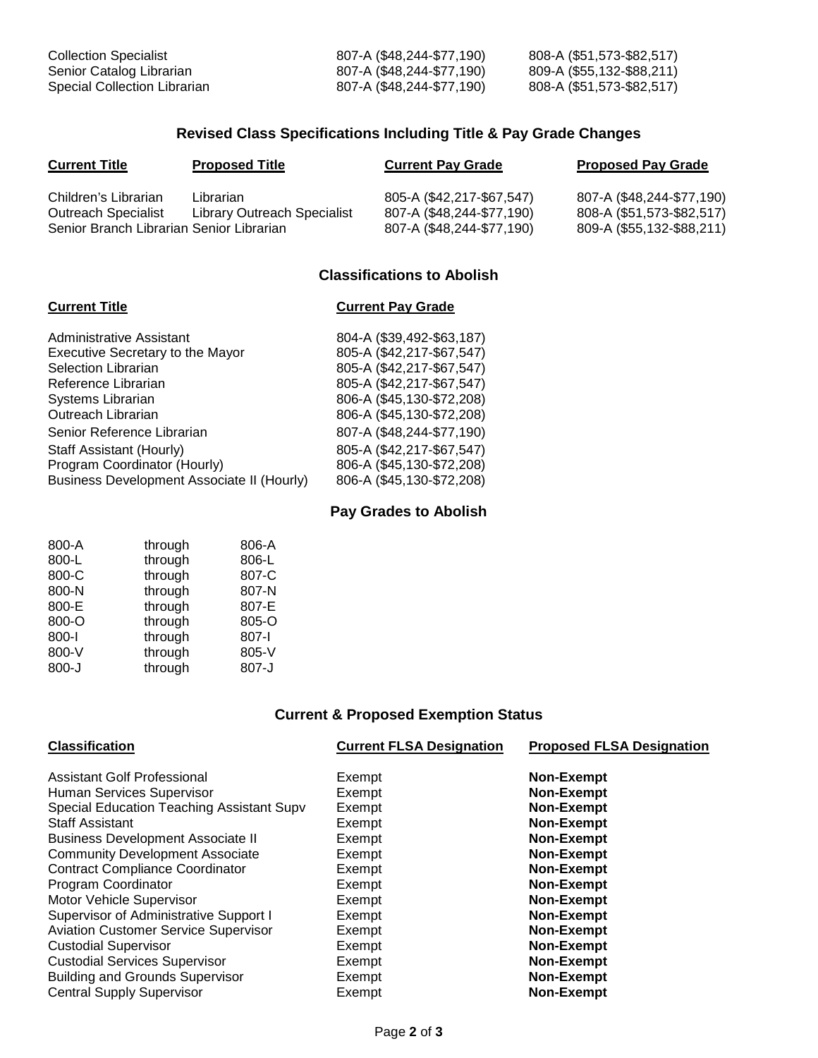| <b>Collection Specialist</b> | 807-A (\$48,244-\$77,190) | 808-A (\$51,573-\$82,517) |
|------------------------------|---------------------------|---------------------------|
| Senior Catalog Librarian     | 807-A (\$48,244-\$77,190) | 809-A (\$55,132-\$88,211) |
| Special Collection Librarian | 807-A (\$48,244-\$77,190) | 808-A (\$51,573-\$82,517) |

## **Revised Class Specifications Including Title & Pay Grade Changes**

| <b>Current Title</b>                                                                           | <b>Proposed Title</b>                    | <b>Current Pay Grade</b>                                                            | <b>Proposed Pay Grade</b>                                                           |
|------------------------------------------------------------------------------------------------|------------------------------------------|-------------------------------------------------------------------------------------|-------------------------------------------------------------------------------------|
| Children's Librarian<br><b>Outreach Specialist</b><br>Senior Branch Librarian Senior Librarian | Librarian<br>Library Outreach Specialist | 805-A (\$42,217-\$67,547)<br>807-A (\$48,244-\$77,190)<br>807-A (\$48,244-\$77,190) | 807-A (\$48,244-\$77,190)<br>808-A (\$51,573-\$82,517)<br>809-A (\$55,132-\$88,211) |

# **Classifications to Abolish**

## **Current Title Current Pay Grade**

| Administrative Assistant                   | 804-A (\$39,492-\$63,187) |
|--------------------------------------------|---------------------------|
| Executive Secretary to the Mayor           | 805-A (\$42,217-\$67,547) |
| <b>Selection Librarian</b>                 | 805-A (\$42,217-\$67,547) |
| Reference Librarian                        | 805-A (\$42,217-\$67,547) |
| Systems Librarian                          | 806-A (\$45,130-\$72,208) |
| Outreach Librarian                         | 806-A (\$45,130-\$72,208) |
| Senior Reference Librarian                 | 807-A (\$48,244-\$77,190) |
| Staff Assistant (Hourly)                   | 805-A (\$42,217-\$67,547) |
| Program Coordinator (Hourly)               | 806-A (\$45,130-\$72,208) |
| Business Development Associate II (Hourly) | 806-A (\$45,130-\$72,208) |
|                                            |                           |

# **Pay Grades to Abolish**

| 800-A     | through | 806-A |
|-----------|---------|-------|
| 800-L     | through | 806-L |
| 800-C     | through | 807-C |
| 800-N     | through | 807-N |
| 800-E     | through | 807-E |
| 800-O     | through | 805-O |
| 800-l     | through | 807-l |
| 800-V     | through | 805-V |
| $800 - J$ | through | 807-J |

# **Current & Proposed Exemption Status**

| <b>Classification</b>                       | <b>Current FLSA Designation</b> | <b>Proposed FLSA Designation</b> |
|---------------------------------------------|---------------------------------|----------------------------------|
| Assistant Golf Professional                 | Exempt                          | <b>Non-Exempt</b>                |
| Human Services Supervisor                   | Exempt                          | <b>Non-Exempt</b>                |
| Special Education Teaching Assistant Supv   | Exempt                          | <b>Non-Exempt</b>                |
| <b>Staff Assistant</b>                      | Exempt                          | <b>Non-Exempt</b>                |
| <b>Business Development Associate II</b>    | Exempt                          | <b>Non-Exempt</b>                |
| <b>Community Development Associate</b>      | Exempt                          | <b>Non-Exempt</b>                |
| <b>Contract Compliance Coordinator</b>      | Exempt                          | <b>Non-Exempt</b>                |
| Program Coordinator                         | Exempt                          | <b>Non-Exempt</b>                |
| Motor Vehicle Supervisor                    | Exempt                          | Non-Exempt                       |
| Supervisor of Administrative Support I      | Exempt                          | <b>Non-Exempt</b>                |
| <b>Aviation Customer Service Supervisor</b> | Exempt                          | Non-Exempt                       |
| <b>Custodial Supervisor</b>                 | Exempt                          | <b>Non-Exempt</b>                |
| <b>Custodial Services Supervisor</b>        | Exempt                          | Non-Exempt                       |
| <b>Building and Grounds Supervisor</b>      | Exempt                          | Non-Exempt                       |
| <b>Central Supply Supervisor</b>            | Exempt                          | <b>Non-Exempt</b>                |